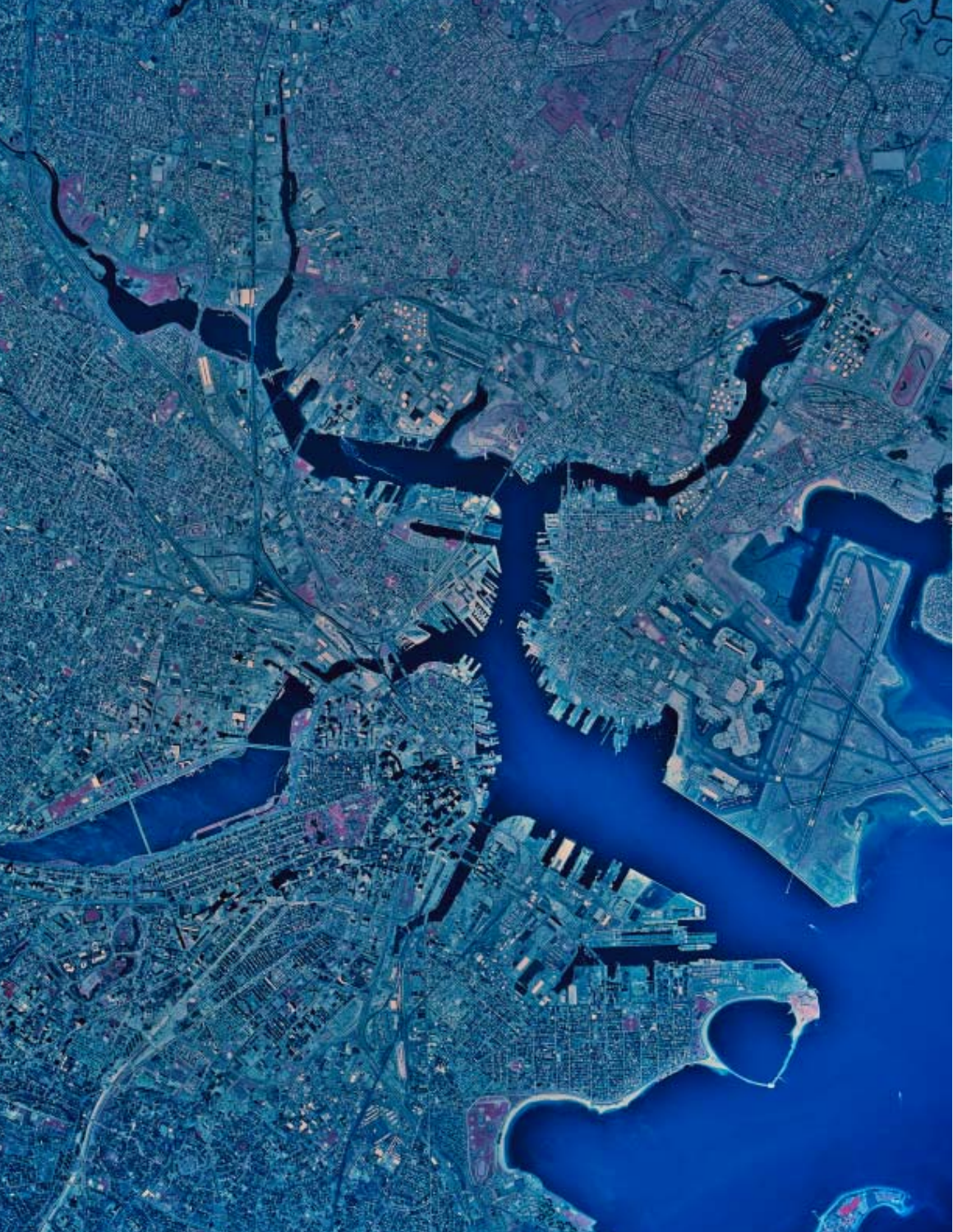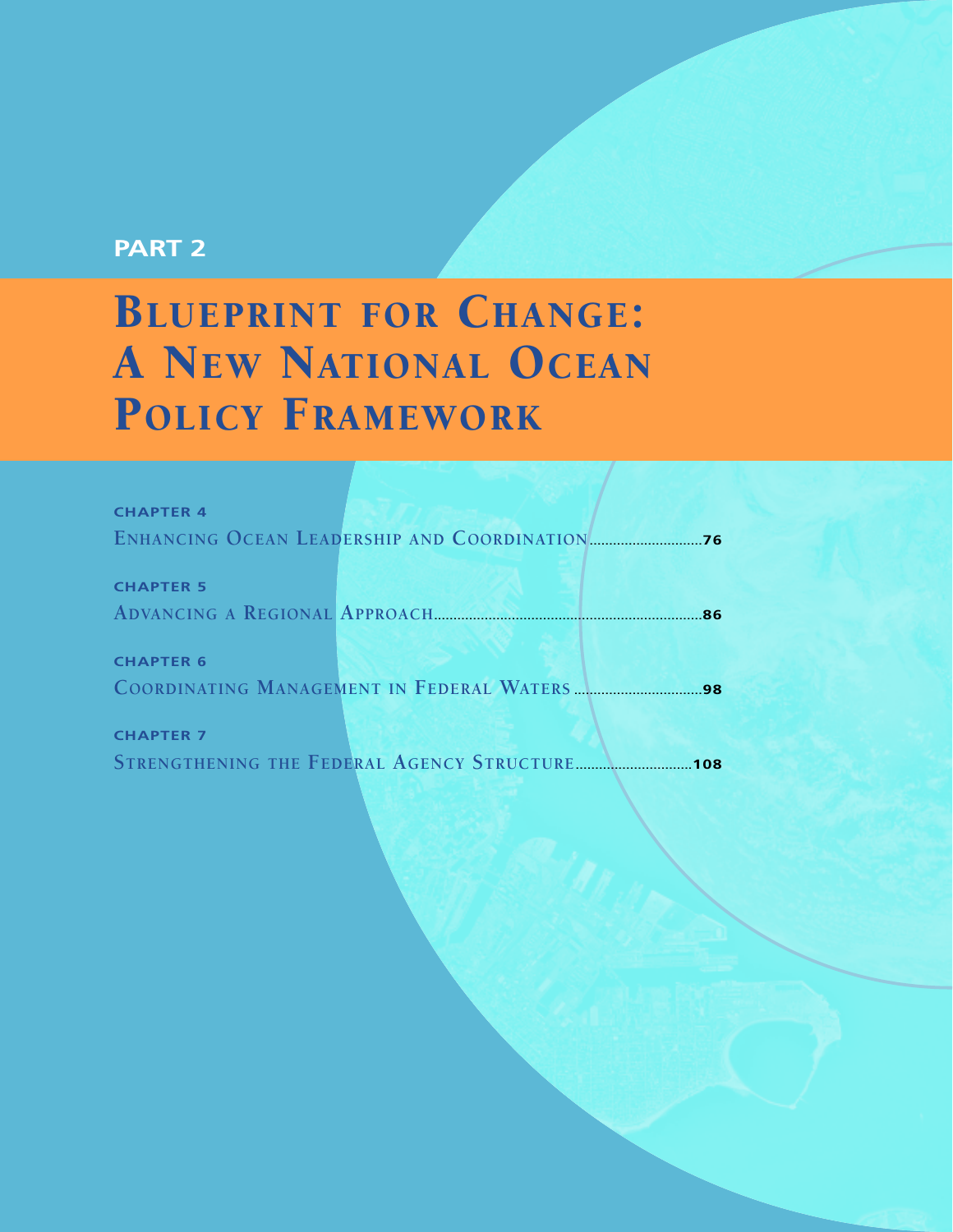## **PART 2**

# BLUEPRINT FOR CHANGE: A NEW NATIONAL OCEAN POLICY FRAMEWORK

| <b>CHAPTER 4</b> |                               |     |
|------------------|-------------------------------|-----|
|                  |                               |     |
|                  |                               |     |
|                  |                               |     |
| <b>CHAPTER 5</b> |                               |     |
|                  | ADVANCING A REGIONAL APPROACH |     |
|                  |                               |     |
| <b>CHAPTER 6</b> |                               |     |
|                  |                               |     |
|                  |                               |     |
|                  |                               |     |
| <b>CHAPTER 7</b> |                               |     |
|                  |                               | 108 |
|                  |                               |     |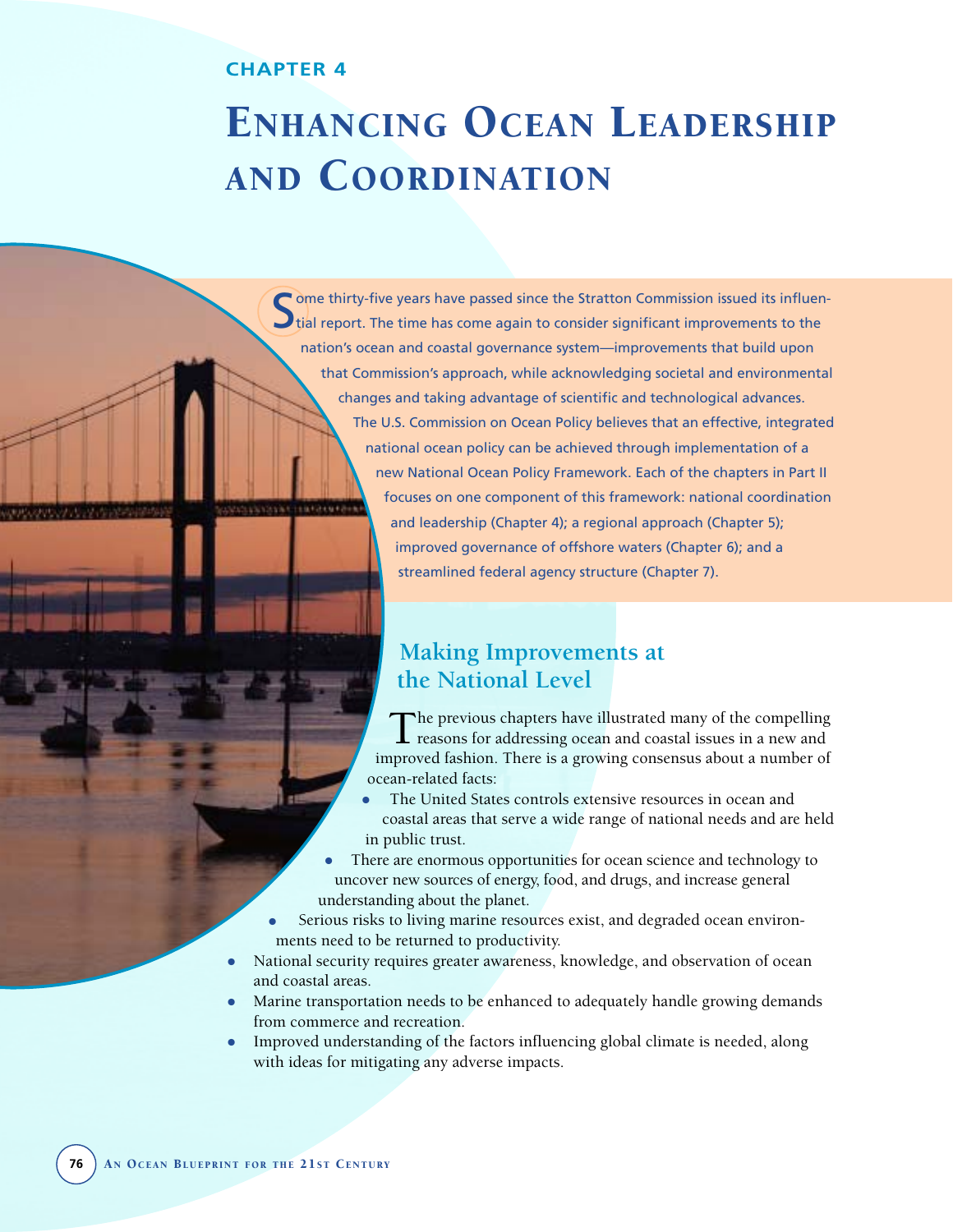#### **CHAPTER 4**

# ENHANCING OCEAN LEADERSHIP AND COORDINATION

Some thirty-five years have passed since the Stratton Commission issued its influer<br>tial report. The time has come again to consider significant improvements to the <sup>o</sup> ome thirty-five years have passed since the Stratton Commission issued its influennation's ocean and coastal governance system—improvements that build upon that Commission's approach, while acknowledging societal and environmental changes and taking advantage of scientific and technological advances. The U.S. Commission on Ocean Policy believes that an effective, integrated national ocean policy can be achieved through implementation of a new National Ocean Policy Framework. Each of the chapters in Part II focuses on one component of this framework: national coordination and leadership (Chapter 4); a regional approach (Chapter 5); improved governance of offshore waters (Chapter 6); and a streamlined federal agency structure (Chapter 7).

### **Making Improvements at the National Level**

The previous chapters have illustrated many of the compelling  $\perp$  reasons for addressing ocean and coastal issues in a new and improved fashion. There is a growing consensus about a number of ocean-related facts:

- The United States controls extensive resources in ocean and coastal areas that serve a wide range of national needs and are held in public trust.
- There are enormous opportunities for ocean science and technology to uncover new sources of energy, food, and drugs, and increase general understanding about the planet.
- Serious risks to living marine resources exist, and degraded ocean environments need to be returned to productivity.
- National security requires greater awareness, knowledge, and observation of ocean and coastal areas.
- Marine transportation needs to be enhanced to adequately handle growing demands from commerce and recreation.
- Improved understanding of the factors influencing global climate is needed, along with ideas for mitigating any adverse impacts.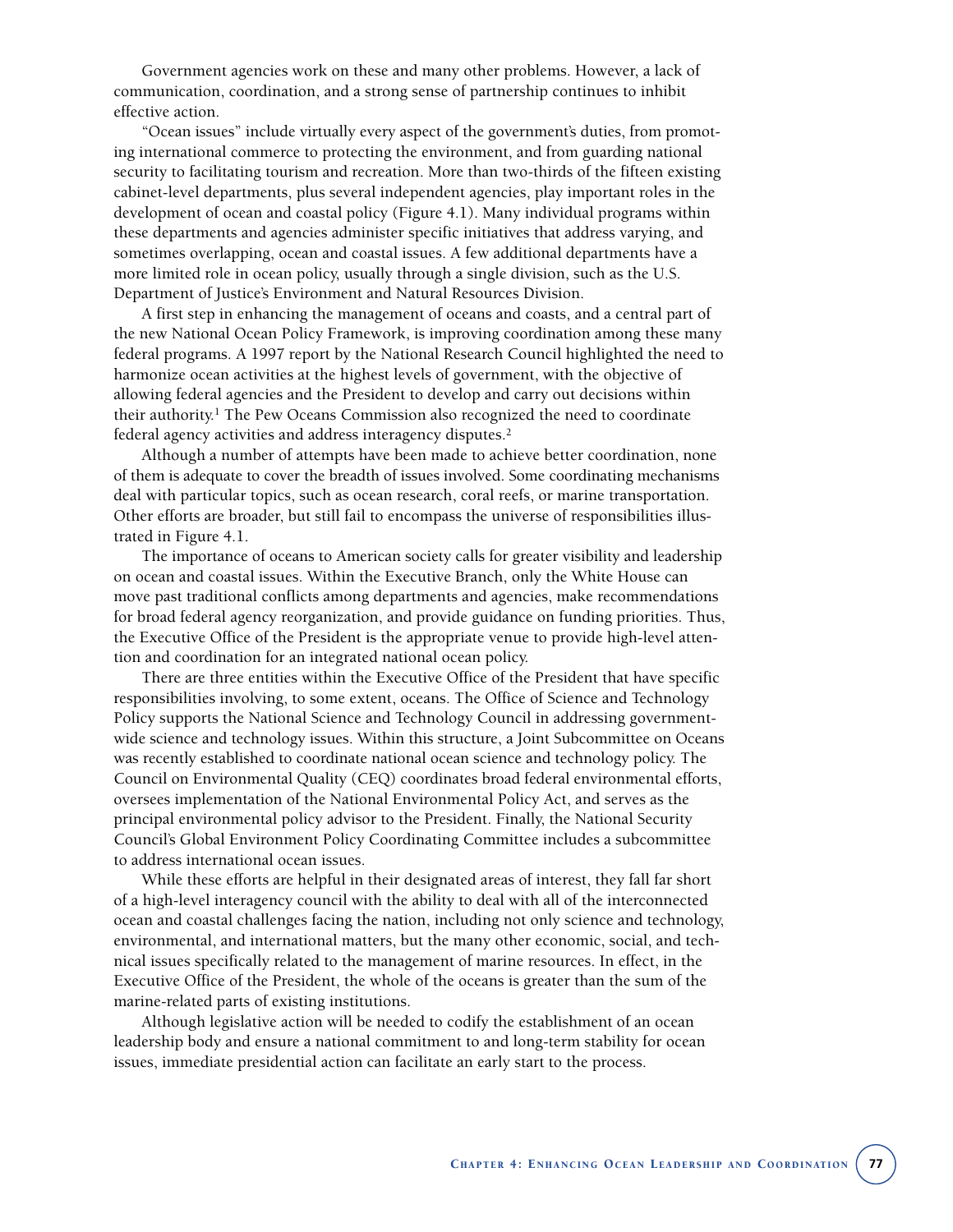Government agencies work on these and many other problems. However, a lack of communication, coordination, and a strong sense of partnership continues to inhibit effective action.

"Ocean issues" include virtually every aspect of the government's duties, from promoting international commerce to protecting the environment, and from guarding national security to facilitating tourism and recreation. More than two-thirds of the fifteen existing cabinet-level departments, plus several independent agencies, play important roles in the development of ocean and coastal policy (Figure 4.1). Many individual programs within these departments and agencies administer specific initiatives that address varying, and sometimes overlapping, ocean and coastal issues. A few additional departments have a more limited role in ocean policy, usually through a single division, such as the U.S. Department of Justice's Environment and Natural Resources Division.

A first step in enhancing the management of oceans and coasts, and a central part of the new National Ocean Policy Framework, is improving coordination among these many federal programs. A 1997 report by the National Research Council highlighted the need to harmonize ocean activities at the highest levels of government, with the objective of allowing federal agencies and the President to develop and carry out decisions within their authority.1 The Pew Oceans Commission also recognized the need to coordinate federal agency activities and address interagency disputes.<sup>2</sup>

Although a number of attempts have been made to achieve better coordination, none of them is adequate to cover the breadth of issues involved. Some coordinating mechanisms deal with particular topics, such as ocean research, coral reefs, or marine transportation. Other efforts are broader, but still fail to encompass the universe of responsibilities illustrated in Figure 4.1.

The importance of oceans to American society calls for greater visibility and leadership on ocean and coastal issues. Within the Executive Branch, only the White House can move past traditional conflicts among departments and agencies, make recommendations for broad federal agency reorganization, and provide guidance on funding priorities. Thus, the Executive Office of the President is the appropriate venue to provide high-level attention and coordination for an integrated national ocean policy.

There are three entities within the Executive Office of the President that have specific responsibilities involving, to some extent, oceans. The Office of Science and Technology Policy supports the National Science and Technology Council in addressing governmentwide science and technology issues. Within this structure, a Joint Subcommittee on Oceans was recently established to coordinate national ocean science and technology policy. The Council on Environmental Quality (CEQ) coordinates broad federal environmental efforts, oversees implementation of the National Environmental Policy Act, and serves as the principal environmental policy advisor to the President. Finally, the National Security Council's Global Environment Policy Coordinating Committee includes a subcommittee to address international ocean issues.

While these efforts are helpful in their designated areas of interest, they fall far short of a high-level interagency council with the ability to deal with all of the interconnected ocean and coastal challenges facing the nation, including not only science and technology, environmental, and international matters, but the many other economic, social, and technical issues specifically related to the management of marine resources. In effect, in the Executive Office of the President, the whole of the oceans is greater than the sum of the marine-related parts of existing institutions.

Although legislative action will be needed to codify the establishment of an ocean leadership body and ensure a national commitment to and long-term stability for ocean issues, immediate presidential action can facilitate an early start to the process.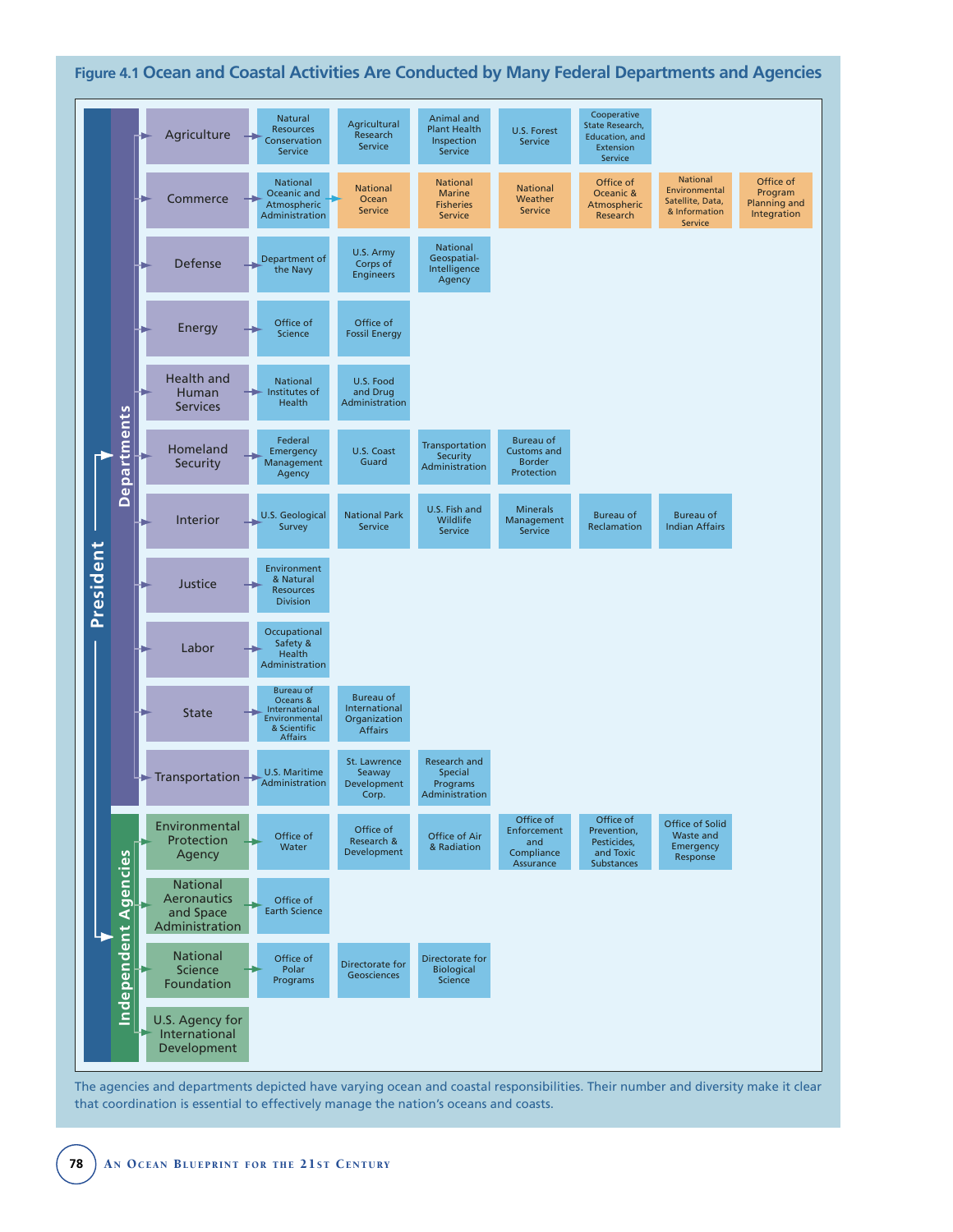



The agencies and departments depicted have varying ocean and coastal responsibilities. Their number and diversity make it clear that coordination is essential to effectively manage the nation's oceans and coasts.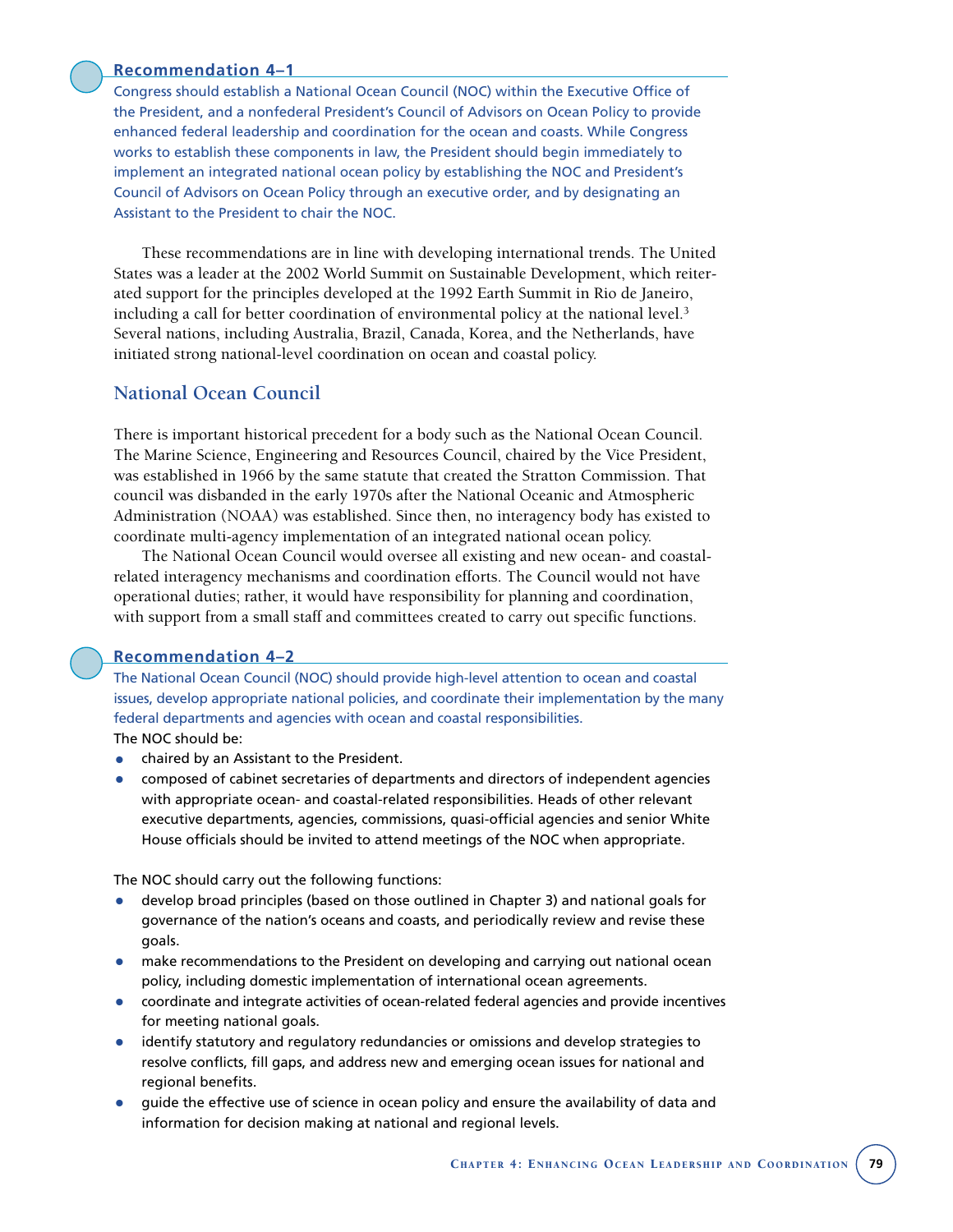#### **Recommendation 4–1**

Congress should establish a National Ocean Council (NOC) within the Executive Office of the President, and a nonfederal President's Council of Advisors on Ocean Policy to provide enhanced federal leadership and coordination for the ocean and coasts. While Congress works to establish these components in law, the President should begin immediately to implement an integrated national ocean policy by establishing the NOC and President's Council of Advisors on Ocean Policy through an executive order, and by designating an Assistant to the President to chair the NOC.

These recommendations are in line with developing international trends. The United States was a leader at the 2002 World Summit on Sustainable Development, which reiterated support for the principles developed at the 1992 Earth Summit in Rio de Janeiro, including a call for better coordination of environmental policy at the national level.<sup>3</sup> Several nations, including Australia, Brazil, Canada, Korea, and the Netherlands, have initiated strong national-level coordination on ocean and coastal policy.

#### **National Ocean Council**

There is important historical precedent for a body such as the National Ocean Council. The Marine Science, Engineering and Resources Council, chaired by the Vice President, was established in 1966 by the same statute that created the Stratton Commission. That council was disbanded in the early 1970s after the National Oceanic and Atmospheric Administration (NOAA) was established. Since then, no interagency body has existed to coordinate multi-agency implementation of an integrated national ocean policy.

The National Ocean Council would oversee all existing and new ocean- and coastalrelated interagency mechanisms and coordination efforts. The Council would not have operational duties; rather, it would have responsibility for planning and coordination, with support from a small staff and committees created to carry out specific functions.

#### **Recommendation 4–2**

The National Ocean Council (NOC) should provide high-level attention to ocean and coastal issues, develop appropriate national policies, and coordinate their implementation by the many federal departments and agencies with ocean and coastal responsibilities. The NOC should be:

- chaired by an Assistant to the President.
- composed of cabinet secretaries of departments and directors of independent agencies with appropriate ocean- and coastal-related responsibilities. Heads of other relevant executive departments, agencies, commissions, quasi-official agencies and senior White House officials should be invited to attend meetings of the NOC when appropriate.

The NOC should carry out the following functions:

- develop broad principles (based on those outlined in Chapter 3) and national goals for governance of the nation's oceans and coasts, and periodically review and revise these goals.
- make recommendations to the President on developing and carrying out national ocean policy, including domestic implementation of international ocean agreements.
- coordinate and integrate activities of ocean-related federal agencies and provide incentives for meeting national goals.
- identify statutory and regulatory redundancies or omissions and develop strategies to resolve conflicts, fill gaps, and address new and emerging ocean issues for national and regional benefits.
- guide the effective use of science in ocean policy and ensure the availability of data and information for decision making at national and regional levels.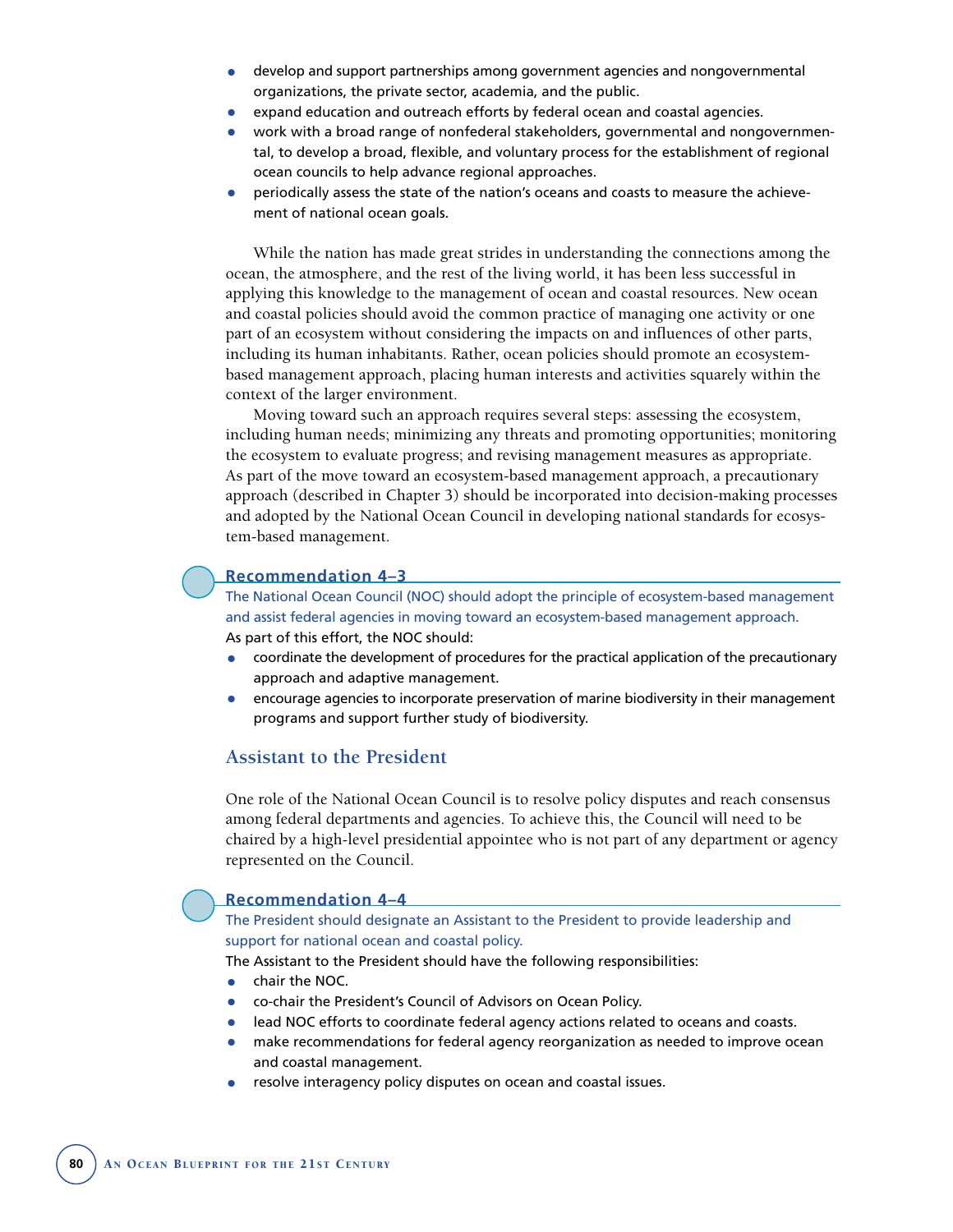- develop and support partnerships among government agencies and nongovernmental organizations, the private sector, academia, and the public.
- expand education and outreach efforts by federal ocean and coastal agencies.
- work with a broad range of nonfederal stakeholders, governmental and nongovernmental, to develop a broad, flexible, and voluntary process for the establishment of regional ocean councils to help advance regional approaches.
- periodically assess the state of the nation's oceans and coasts to measure the achievement of national ocean goals.

While the nation has made great strides in understanding the connections among the ocean, the atmosphere, and the rest of the living world, it has been less successful in applying this knowledge to the management of ocean and coastal resources. New ocean and coastal policies should avoid the common practice of managing one activity or one part of an ecosystem without considering the impacts on and influences of other parts, including its human inhabitants. Rather, ocean policies should promote an ecosystembased management approach, placing human interests and activities squarely within the context of the larger environment.

Moving toward such an approach requires several steps: assessing the ecosystem, including human needs; minimizing any threats and promoting opportunities; monitoring the ecosystem to evaluate progress; and revising management measures as appropriate. As part of the move toward an ecosystem-based management approach, a precautionary approach (described in Chapter 3) should be incorporated into decision-making processes and adopted by the National Ocean Council in developing national standards for ecosystem-based management.

#### **Recommendation 4–3**

The National Ocean Council (NOC) should adopt the principle of ecosystem-based management and assist federal agencies in moving toward an ecosystem-based management approach. As part of this effort, the NOC should:

- coordinate the development of procedures for the practical application of the precautionary approach and adaptive management.
- encourage agencies to incorporate preservation of marine biodiversity in their management programs and support further study of biodiversity.

#### **Assistant to the President**

One role of the National Ocean Council is to resolve policy disputes and reach consensus among federal departments and agencies. To achieve this, the Council will need to be chaired by a high-level presidential appointee who is not part of any department or agency represented on the Council.

#### **Recommendation 4–4**

The President should designate an Assistant to the President to provide leadership and support for national ocean and coastal policy.

The Assistant to the President should have the following responsibilities:

- chair the NOC.
- co-chair the President's Council of Advisors on Ocean Policy.
- lead NOC efforts to coordinate federal agency actions related to oceans and coasts.
- make recommendations for federal agency reorganization as needed to improve ocean and coastal management.
- resolve interagency policy disputes on ocean and coastal issues.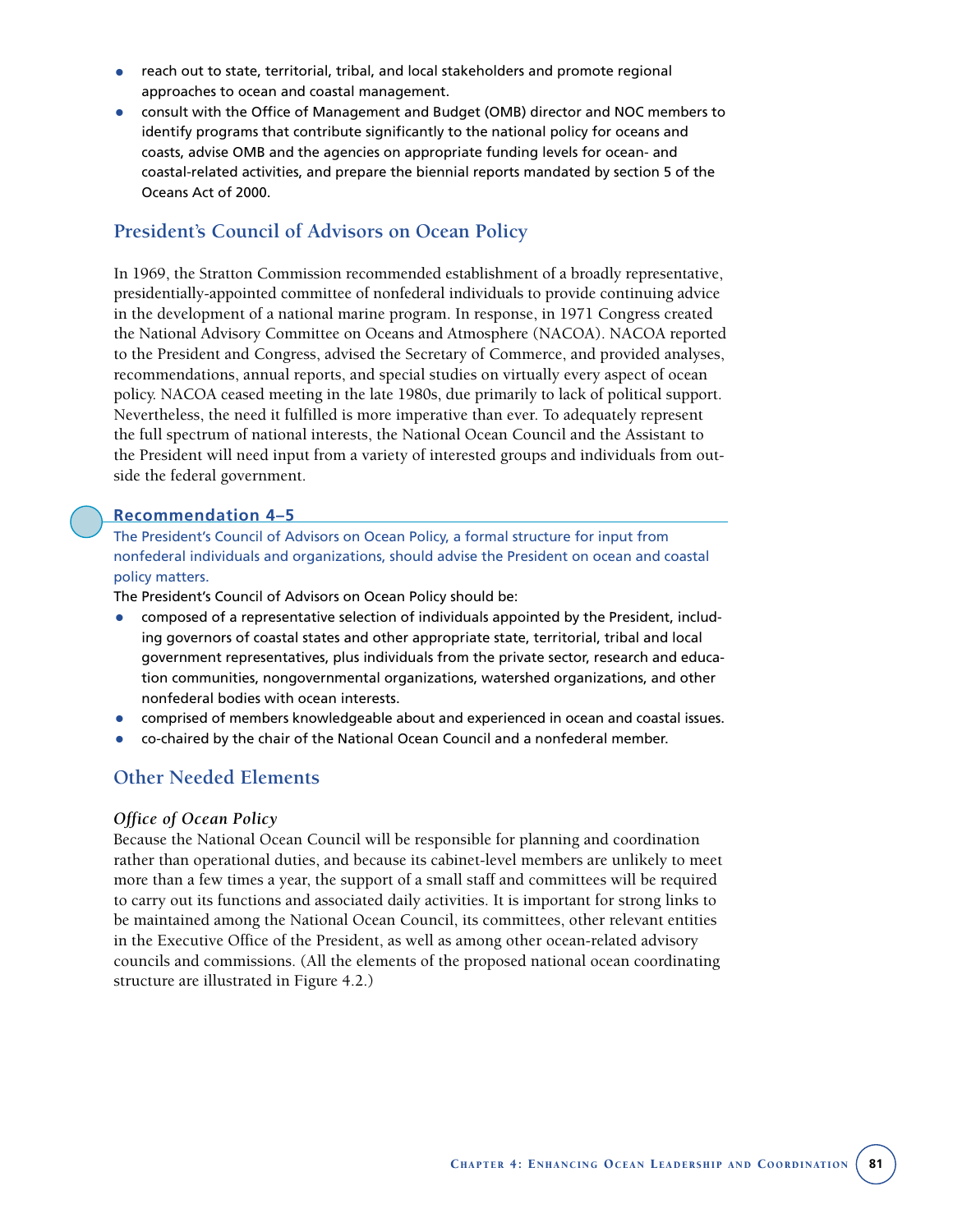- reach out to state, territorial, tribal, and local stakeholders and promote regional approaches to ocean and coastal management.
- consult with the Office of Management and Budget (OMB) director and NOC members to identify programs that contribute significantly to the national policy for oceans and coasts, advise OMB and the agencies on appropriate funding levels for ocean- and coastal-related activities, and prepare the biennial reports mandated by section 5 of the Oceans Act of 2000.

#### **President's Council of Advisors on Ocean Policy**

In 1969, the Stratton Commission recommended establishment of a broadly representative, presidentially-appointed committee of nonfederal individuals to provide continuing advice in the development of a national marine program. In response, in 1971 Congress created the National Advisory Committee on Oceans and Atmosphere (NACOA). NACOA reported to the President and Congress, advised the Secretary of Commerce, and provided analyses, recommendations, annual reports, and special studies on virtually every aspect of ocean policy. NACOA ceased meeting in the late 1980s, due primarily to lack of political support. Nevertheless, the need it fulfilled is more imperative than ever. To adequately represent the full spectrum of national interests, the National Ocean Council and the Assistant to the President will need input from a variety of interested groups and individuals from outside the federal government.

#### **Recommendation 4–5**

The President's Council of Advisors on Ocean Policy, a formal structure for input from nonfederal individuals and organizations, should advise the President on ocean and coastal policy matters.

The President's Council of Advisors on Ocean Policy should be:

- composed of a representative selection of individuals appointed by the President, including governors of coastal states and other appropriate state, territorial, tribal and local government representatives, plus individuals from the private sector, research and education communities, nongovernmental organizations, watershed organizations, and other nonfederal bodies with ocean interests.
- comprised of members knowledgeable about and experienced in ocean and coastal issues.
- co-chaired by the chair of the National Ocean Council and a nonfederal member.

#### **Other Needed Elements**

#### *Office of Ocean Policy*

Because the National Ocean Council will be responsible for planning and coordination rather than operational duties, and because its cabinet-level members are unlikely to meet more than a few times a year, the support of a small staff and committees will be required to carry out its functions and associated daily activities. It is important for strong links to be maintained among the National Ocean Council, its committees, other relevant entities in the Executive Office of the President, as well as among other ocean-related advisory councils and commissions. (All the elements of the proposed national ocean coordinating structure are illustrated in Figure 4.2.)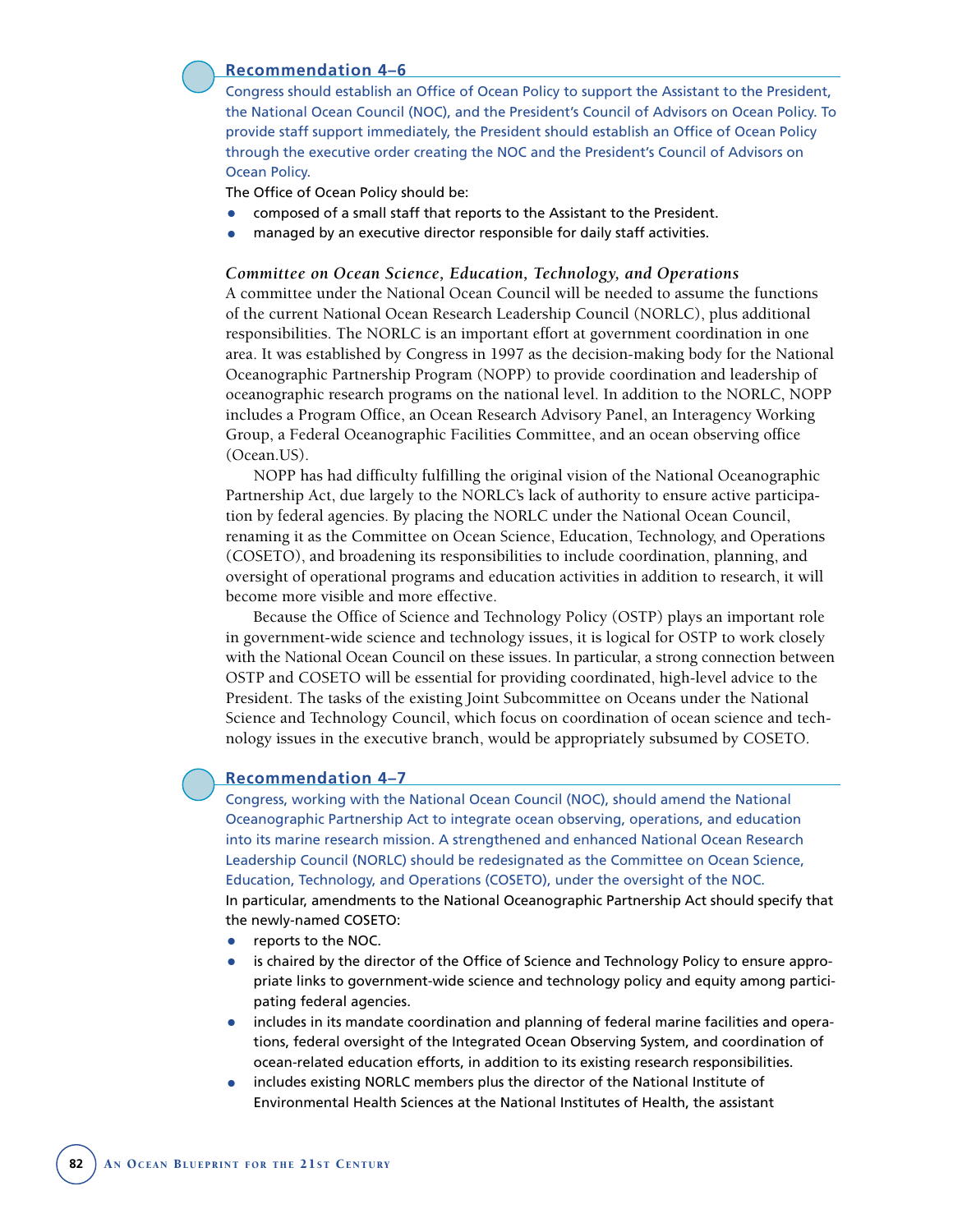#### **Recommendation 4–6**

Congress should establish an Office of Ocean Policy to support the Assistant to the President, the National Ocean Council (NOC), and the President's Council of Advisors on Ocean Policy. To provide staff support immediately, the President should establish an Office of Ocean Policy through the executive order creating the NOC and the President's Council of Advisors on Ocean Policy.

The Office of Ocean Policy should be:

- composed of a small staff that reports to the Assistant to the President.
- managed by an executive director responsible for daily staff activities.

#### *Committee on Ocean Science, Education, Technology, and Operations*

A committee under the National Ocean Council will be needed to assume the functions of the current National Ocean Research Leadership Council (NORLC), plus additional responsibilities. The NORLC is an important effort at government coordination in one area. It was established by Congress in 1997 as the decision-making body for the National Oceanographic Partnership Program (NOPP) to provide coordination and leadership of oceanographic research programs on the national level. In addition to the NORLC, NOPP includes a Program Office, an Ocean Research Advisory Panel, an Interagency Working Group, a Federal Oceanographic Facilities Committee, and an ocean observing office (Ocean.US).

NOPP has had difficulty fulfilling the original vision of the National Oceanographic Partnership Act, due largely to the NORLC's lack of authority to ensure active participation by federal agencies. By placing the NORLC under the National Ocean Council, renaming it as the Committee on Ocean Science, Education, Technology, and Operations (COSETO), and broadening its responsibilities to include coordination, planning, and oversight of operational programs and education activities in addition to research, it will become more visible and more effective.

Because the Office of Science and Technology Policy (OSTP) plays an important role in government-wide science and technology issues, it is logical for OSTP to work closely with the National Ocean Council on these issues. In particular, a strong connection between OSTP and COSETO will be essential for providing coordinated, high-level advice to the President. The tasks of the existing Joint Subcommittee on Oceans under the National Science and Technology Council, which focus on coordination of ocean science and technology issues in the executive branch, would be appropriately subsumed by COSETO.

#### **Recommendation 4–7**

Congress, working with the National Ocean Council (NOC), should amend the National Oceanographic Partnership Act to integrate ocean observing, operations, and education into its marine research mission. A strengthened and enhanced National Ocean Research Leadership Council (NORLC) should be redesignated as the Committee on Ocean Science, Education, Technology, and Operations (COSETO), under the oversight of the NOC. In particular, amendments to the National Oceanographic Partnership Act should specify that the newly-named COSETO:

- reports to the NOC.<br>• is chaired by the dire
- is chaired by the director of the Office of Science and Technology Policy to ensure appropriate links to government-wide science and technology policy and equity among participating federal agencies.
- includes in its mandate coordination and planning of federal marine facilities and operations, federal oversight of the Integrated Ocean Observing System, and coordination of ocean-related education efforts, in addition to its existing research responsibilities.
- includes existing NORLC members plus the director of the National Institute of Environmental Health Sciences at the National Institutes of Health, the assistant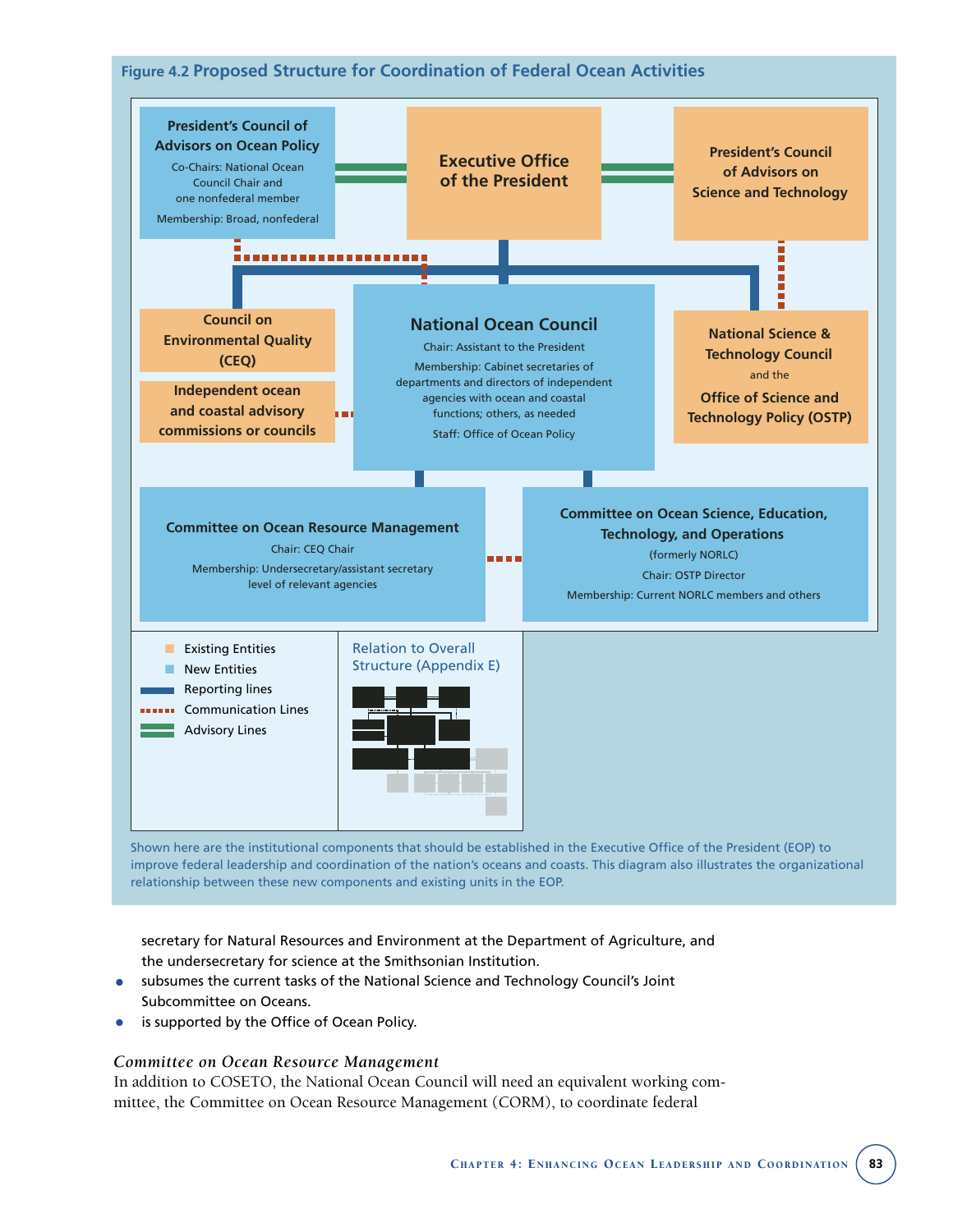

Shown here are the institutional components that should be established in the Executive Office of the President (EOP) to improve federal leadership and coordination of the nation's oceans and coasts. This diagram also illustrates the organizational relationship between these new components and existing units in the EOP.

secretary for Natural Resources and Environment at the Department of Agriculture, and the undersecretary for science at the Smithsonian Institution.

- subsumes the current tasks of the National Science and Technology Council's Joint Subcommittee on Oceans.
- is supported by the Office of Ocean Policy.

#### *Committee on Ocean Resource Management*

In addition to COSETO, the National Ocean Council will need an equivalent working committee, the Committee on Ocean Resource Management (CORM), to coordinate federal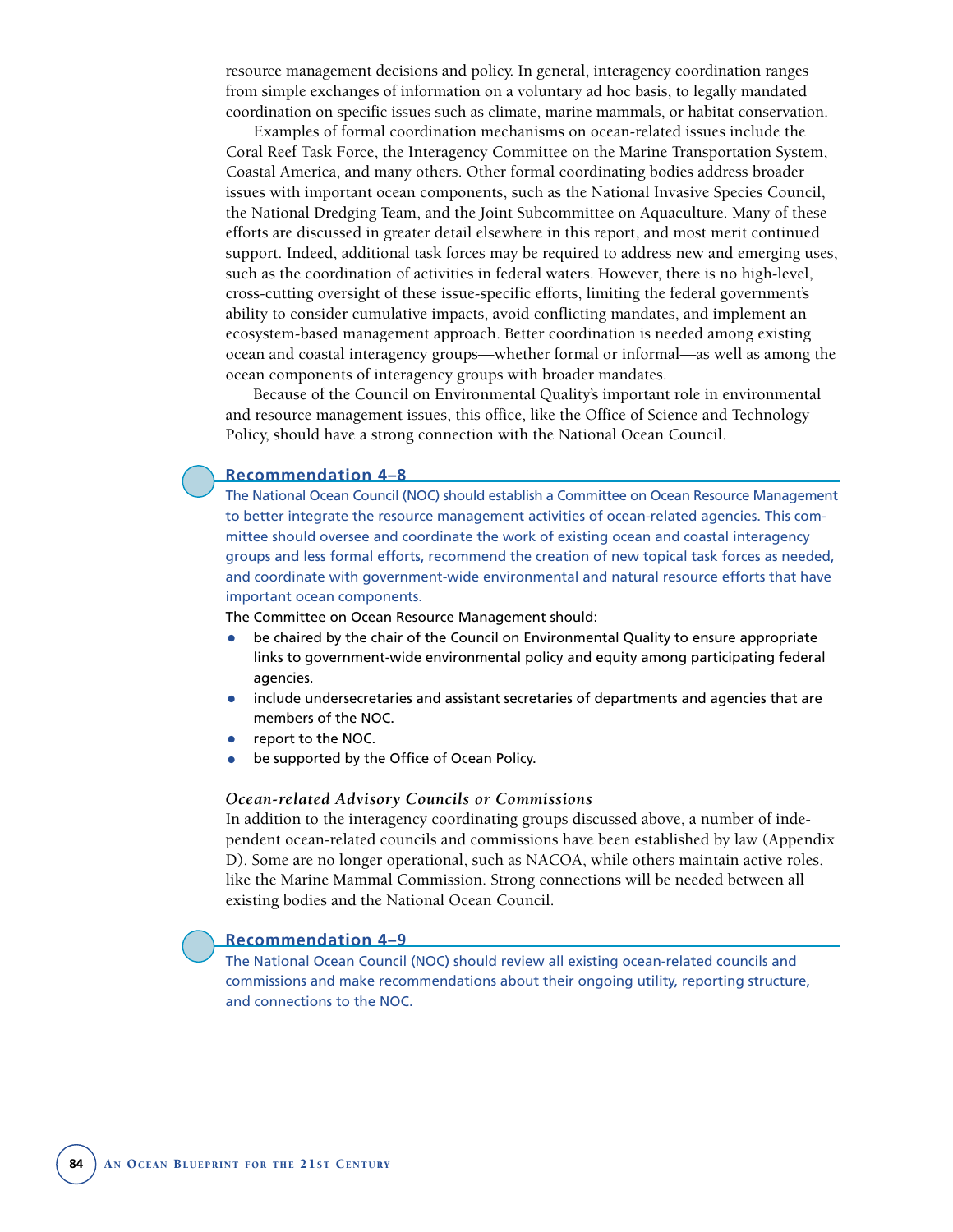resource management decisions and policy. In general, interagency coordination ranges from simple exchanges of information on a voluntary ad hoc basis, to legally mandated coordination on specific issues such as climate, marine mammals, or habitat conservation.

Examples of formal coordination mechanisms on ocean-related issues include the Coral Reef Task Force, the Interagency Committee on the Marine Transportation System, Coastal America, and many others. Other formal coordinating bodies address broader issues with important ocean components, such as the National Invasive Species Council, the National Dredging Team, and the Joint Subcommittee on Aquaculture. Many of these efforts are discussed in greater detail elsewhere in this report, and most merit continued support. Indeed, additional task forces may be required to address new and emerging uses, such as the coordination of activities in federal waters. However, there is no high-level, cross-cutting oversight of these issue-specific efforts, limiting the federal government's ability to consider cumulative impacts, avoid conflicting mandates, and implement an ecosystem-based management approach. Better coordination is needed among existing ocean and coastal interagency groups—whether formal or informal—as well as among the ocean components of interagency groups with broader mandates.

Because of the Council on Environmental Quality's important role in environmental and resource management issues, this office, like the Office of Science and Technology Policy, should have a strong connection with the National Ocean Council.

#### **Recommendation 4–8**

The National Ocean Council (NOC) should establish a Committee on Ocean Resource Management to better integrate the resource management activities of ocean-related agencies. This committee should oversee and coordinate the work of existing ocean and coastal interagency groups and less formal efforts, recommend the creation of new topical task forces as needed, and coordinate with government-wide environmental and natural resource efforts that have important ocean components.

The Committee on Ocean Resource Management should:

- be chaired by the chair of the Council on Environmental Quality to ensure appropriate links to government-wide environmental policy and equity among participating federal agencies.
- include undersecretaries and assistant secretaries of departments and agencies that are members of the NOC.
- report to the NOC.
- be supported by the Office of Ocean Policy.

#### *Ocean-related Advisory Councils or Commissions*

In addition to the interagency coordinating groups discussed above, a number of independent ocean-related councils and commissions have been established by law (Appendix D). Some are no longer operational, such as NACOA, while others maintain active roles, like the Marine Mammal Commission. Strong connections will be needed between all existing bodies and the National Ocean Council.

#### **Recommendation 4–9**

The National Ocean Council (NOC) should review all existing ocean-related councils and commissions and make recommendations about their ongoing utility, reporting structure, and connections to the NOC.